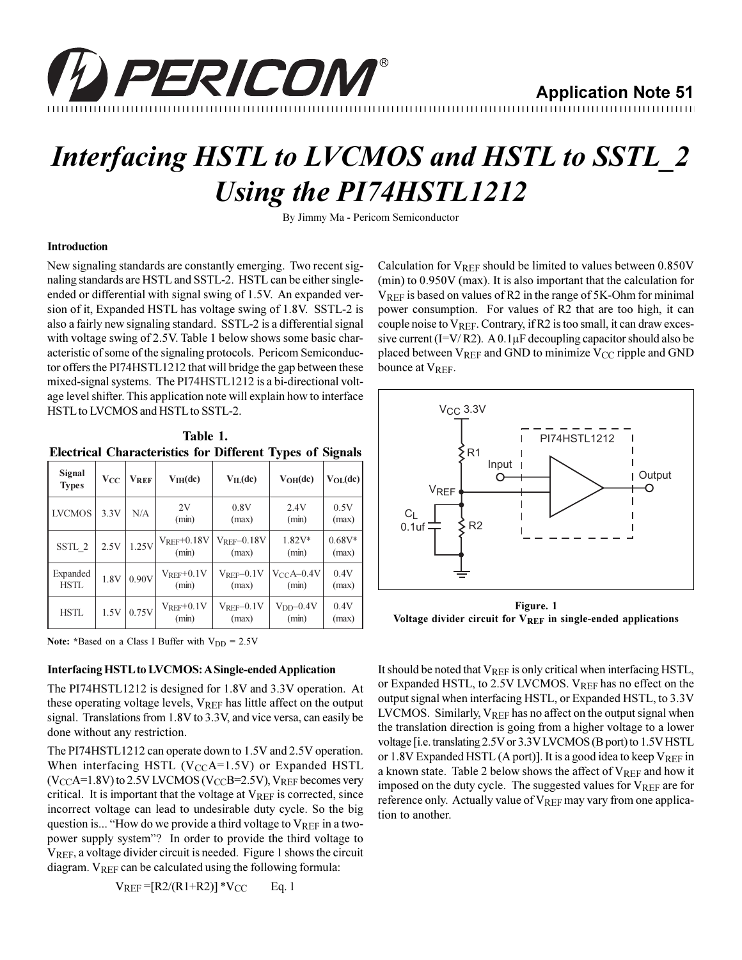

# **Interfacing HSTL to LVCMOS and HSTL to SSTL\_2 Using the PI74HSTL1212**

By Jimmy Ma - Pericom Semiconductor

## **Introduction**

New signaling standards are constantly emerging. Two recent signaling standards are HSTL and SSTL-2. HSTL can be either singleended or differential with signal swing of 1.5V. An expanded version of it, Expanded HSTL has voltage swing of 1.8V. SSTL-2 is also a fairly new signaling standard. SSTL-2 is a differential signal with voltage swing of 2.5V. Table 1 below shows some basic characteristic of some of the signaling protocols. Pericom Semiconductor offers the PI74HSTL1212 that will bridge the gap between these mixed-signal systems. The PI74HSTL1212 is a bi-directional voltage level shifter. This application note will explain how to interface HSTL to LVCMOS and HSTL to SSTL-2.

| Table 1. |                                                                  |  |  |  |  |  |  |
|----------|------------------------------------------------------------------|--|--|--|--|--|--|
|          | <b>Electrical Characteristics for Different Types of Signals</b> |  |  |  |  |  |  |

| Signal<br><b>Types</b> | $V_{CC}$ | <b>VREF</b> | $V_{IH}(dc)$                  | $V_{IL}(dc)$                             | $V_{OH}(dc)$            | $V_{OL}(dc)$      |
|------------------------|----------|-------------|-------------------------------|------------------------------------------|-------------------------|-------------------|
| <b>LVCMOS</b>          | 3.3V     | N/A         | 2V<br>(min)                   | 0.8V<br>(max)                            | 2.4V<br>(min)           | 0.5V<br>(max)     |
| SSTL 2                 | 2.5V     | 1.25V       | $V_{REF}+0.18V$<br>(min)      | $V_{REF}$ -0.18V<br>(max)                | $1.82V*$<br>(min)       | $0.68V*$<br>(max) |
| Expanded<br>HSTL       | 1.8V     | 0.90V       | $V_{\rm{REF}}$ +0.1V<br>(min) | $\rm V_{\rm{REF}}\!\!-\!\!0.1V$<br>(max) | $V_{CC}A-0.4V$<br>(min) | 0.4V<br>(max)     |
| <b>HSTL</b>            | 1.5V     | 0.75V       | $V_{REF}+0.1V$<br>(min)       | $V_{\rm REF}{=}0.1{\rm V}$<br>(max)      | $VDD$ -0.4V<br>(min)    | 0.4V<br>(max)     |

Note: \*Based on a Class I Buffer with  $V_{DD} = 2.5V$ 

### **Interfacing HSTL to LVCMOS: A Single-ended Application**

The PI74HSTL1212 is designed for 1.8V and 3.3V operation. At these operating voltage levels, VREF has little affect on the output signal. Translations from 1.8V to 3.3V, and vice versa, can easily be done without any restriction.

The PI74HSTL1212 can operate down to 1.5V and 2.5V operation. When interfacing HSTL (V<sub>CC</sub>A=1.5V) or Expanded HSTL  $(V_{CC}A=1.8V)$  to 2.5V LVCMOS (V<sub>CC</sub>B=2.5V), V<sub>REF</sub> becomes very critical. It is important that the voltage at  $V_{REF}$  is corrected, since incorrect voltage can lead to undesirable duty cycle. So the big question is... "How do we provide a third voltage to  $V_{REF}$  in a twopower supply system"? In order to provide the third voltage to VREF, a voltage divider circuit is needed. Figure 1 shows the circuit diagram. VREF can be calculated using the following formula:

$$
V_{REF} = [R2/(R1+R2)] * V_{CC}
$$
 Eq. 1

Calculation for  $V_{REF}$  should be limited to values between  $0.850V$  $(\text{min})$  to 0.950V (max). It is also important that the calculation for VREF is based on values of R2 in the range of 5K-Ohm for minimal power consumption. For values of R2 that are too high, it can couple noise to  $V_{REF}$ . Contrary, if R2 is too small, it can draw excessive current (I=V/R2). A  $0.1 \mu$ F decoupling capacitor should also be placed between VREF and GND to minimize V<sub>CC</sub> ripple and GND bounce at VREF.



Figure. 1 Voltage divider circuit for VREF in single-ended applications

It should be noted that  $V_{REF}$  is only critical when interfacing HSTL, or Expanded HSTL, to  $2.5V$  LVCMOS.  $V_{REF}$  has no effect on the output signal when interfacing HSTL, or Expanded HSTL, to 3.3V LVCMOS. Similarly,  $V_{REF}$  has no affect on the output signal when the translation direction is going from a higher voltage to a lower voltage [i.e. translating 2.5V or 3.3V LVCMOS (B port) to 1.5V HSTL or 1.8V Expanded HSTL (A port)]. It is a good idea to keep  $V_{REF}$  in a known state. Table 2 below shows the affect of VREF and how it imposed on the duty cycle. The suggested values for VREF are for reference only. Actually value of  $V_{REF}$  may vary from one application to another.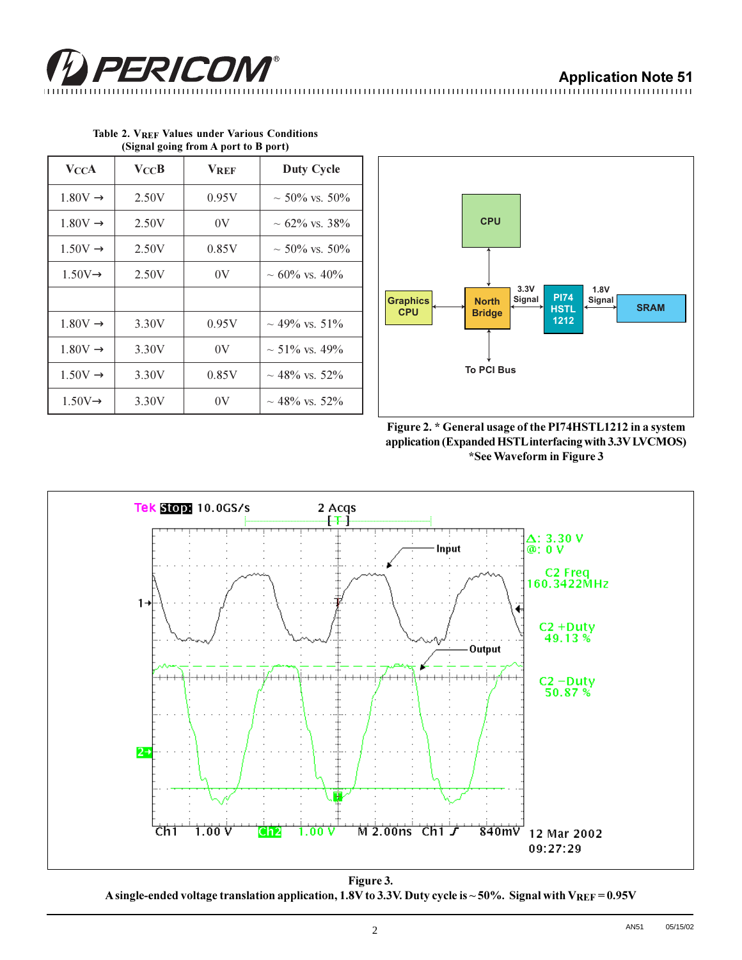## **Application Note 51**

PERICOM®

| <b>V</b> CCA        | $\bf V_{CC}B$ | <b>VREF</b> | <b>Duty Cycle</b>   |
|---------------------|---------------|-------------|---------------------|
| $1.80V \rightarrow$ | 2.50V         | 0.95V       | $\sim$ 50% vs. 50%  |
| $1.80V \rightarrow$ | 2.50V         | 0V          | $\sim$ 62% vs. 38%  |
| $1.50V \rightarrow$ | 2.50V         | 0.85V       | $\sim$ 50% vs. 50%  |
| $1.50V \rightarrow$ | 2.50V         | 0V          | $\sim 60\%$ vs. 40% |
|                     |               |             |                     |
| $1.80V \rightarrow$ | 3.30V         | 0.95V       | $\sim$ 49% vs. 51%  |
| $1.80V \rightarrow$ | 3.30V         | 0V          | $\sim$ 51% vs. 49%  |
| $1.50V \rightarrow$ | 3.30V         | 0.85V       | $\sim$ 48% vs. 52%  |
| $1.50V \rightarrow$ | 3.30V         | 0V          | $\sim$ 48% vs. 52%  |

|                                      |  |  |  |  |  | Table 2. VREF Values under Various Conditions |
|--------------------------------------|--|--|--|--|--|-----------------------------------------------|
| (Signal going from A port to B port) |  |  |  |  |  |                                               |







Figure 3. A single-ended voltage translation application, 1.8V to 3.3V. Duty cycle is ~50%. Signal with VREF = 0.95V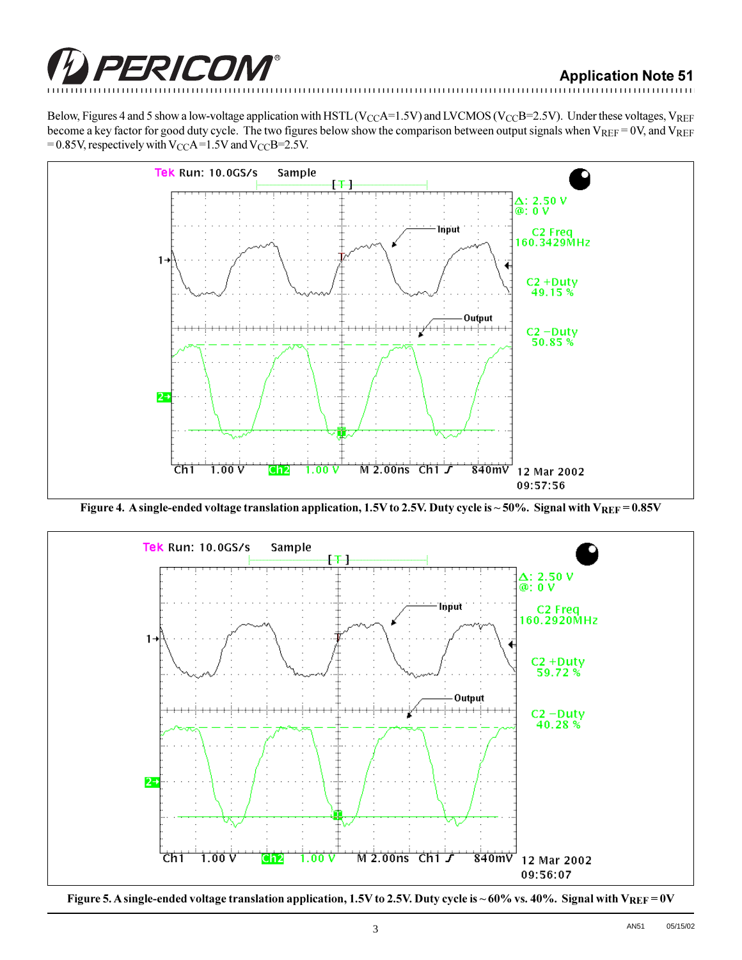

innimininininininininininin

Below, Figures 4 and 5 show a low-voltage application with HSTL (V<sub>CC</sub>A=1.5V) and LVCMOS (V<sub>CC</sub>B=2.5V). Under these voltages, V<sub>REF</sub> become a key factor for good duty cycle. The two figures below show the comparison between output signals when  $V_{REF} = 0V$ , and  $V_{REF}$ = 0.85V, respectively with V<sub>CC</sub>A=1.5V and V<sub>CC</sub>B=2.5V.



Figure 4. A single-ended voltage translation application, 1.5V to 2.5V. Duty cycle is ~50%. Signal with  $V_{REF} = 0.85V$ 



Figure 5. A single-ended voltage translation application, 1.5V to 2.5V. Duty cycle is ~60% vs. 40%. Signal with VREF = 0V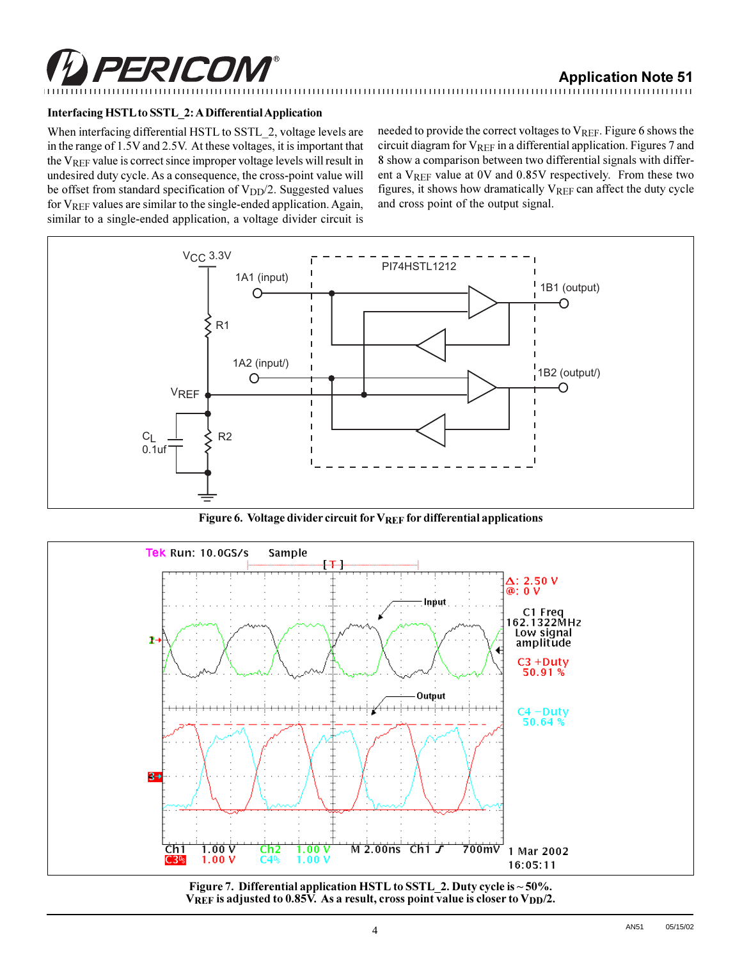

## Interfacing HSTL to SSTL\_2: A Differential Application

When interfacing differential HSTL to SSTL 2, voltage levels are in the range of 1.5V and 2.5V. At these voltages, it is important that the VREF value is correct since improper voltage levels will result in undesired duty cycle. As a consequence, the cross-point value will be offset from standard specification of V<sub>DD</sub>/2. Suggested values for V<sub>REF</sub> values are similar to the single-ended application. Again, similar to a single-ended application, a voltage divider circuit is needed to provide the correct voltages to V<sub>REF</sub>. Figure 6 shows the circuit diagram for VREF in a differential application. Figures 7 and 8 show a comparison between two differential signals with different a  $V_{REF}$  value at 0V and 0.85V respectively. From these two figures, it shows how dramatically VREF can affect the duty cycle and cross point of the output signal.



Figure 6. Voltage divider circuit for  $V_{REF}$  for differential applications



Figure 7. Differential application HSTL to SSTL\_2. Duty cycle is ~50%. VREF is adjusted to 0.85V. As a result, cross point value is closer to  $V_{DD}/2$ .